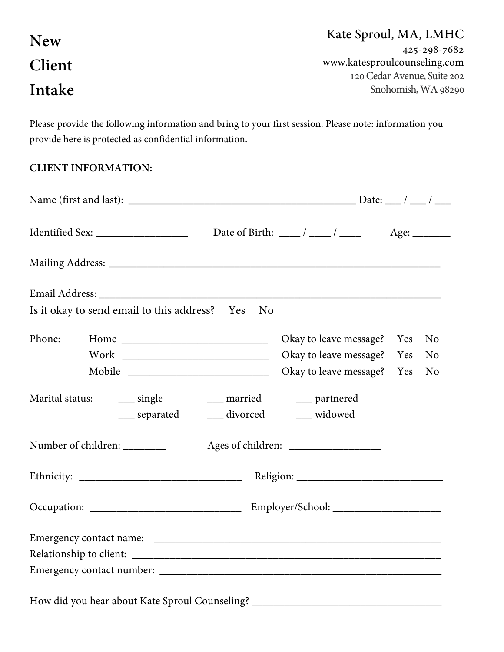| <b>New</b>    | Kate Sproul, MA, LMHC        |
|---------------|------------------------------|
|               | 425-298-7682                 |
| <b>Client</b> | www.katesproulcounseling.com |
|               | 120 Cedar Avenue, Suite 202  |
| Intake        | Snohomish, WA 98290          |
|               |                              |

Please provide the following information and bring to your first session. Please note: information you provide here is protected as confidential information.

## **CLIENT INFORMATION:**

|                                                                                  | Date of Birth: $\frac{\ }{\ }$ / ____ / _____ Age: _____ |     |                |
|----------------------------------------------------------------------------------|----------------------------------------------------------|-----|----------------|
|                                                                                  |                                                          |     |                |
|                                                                                  |                                                          |     |                |
| Is it okay to send email to this address?  Yes  No                               |                                                          |     |                |
| Phone:                                                                           | Okay to leave message?                                   | Yes | N <sub>0</sub> |
|                                                                                  | Okay to leave message? Yes                               |     | N <sub>o</sub> |
|                                                                                  | Okay to leave message? Yes                               |     | N <sub>o</sub> |
| __ divorced<br>___ separated                                                     | __ widowed                                               |     |                |
| Number of children: ________                                                     |                                                          |     |                |
|                                                                                  |                                                          |     |                |
|                                                                                  |                                                          |     |                |
|                                                                                  |                                                          |     |                |
|                                                                                  |                                                          |     |                |
|                                                                                  |                                                          |     |                |
| How did you hear about Kate Sproul Counseling? _________________________________ |                                                          |     |                |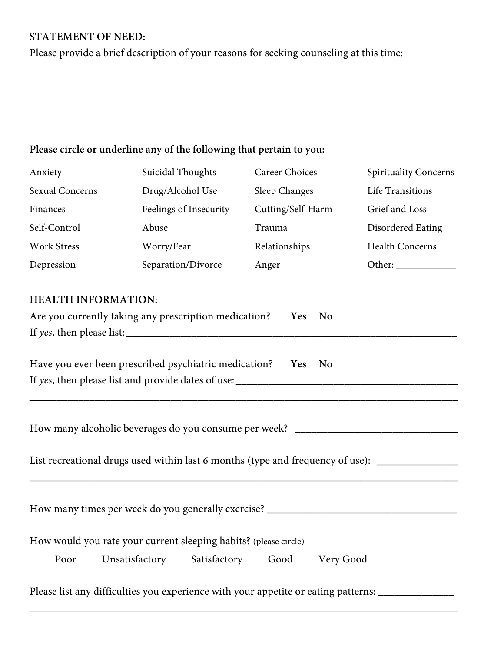# **STATEMENT OF NEED:**

Please provide a brief description of your reasons for seeking counseling at this time:

## **Please circle or underline any of the following that pertain to you:**

| Anxiety                                                                                                                                                                                  | Suicidal Thoughts                                                                                  | <b>Career Choices</b> | <b>Spirituality Concerns</b> |  |  |
|------------------------------------------------------------------------------------------------------------------------------------------------------------------------------------------|----------------------------------------------------------------------------------------------------|-----------------------|------------------------------|--|--|
| <b>Sexual Concerns</b>                                                                                                                                                                   | Drug/Alcohol Use                                                                                   | <b>Sleep Changes</b>  | Life Transitions             |  |  |
| Finances                                                                                                                                                                                 | Feelings of Insecurity                                                                             | Cutting/Self-Harm     | Grief and Loss               |  |  |
| Self-Control                                                                                                                                                                             | Abuse                                                                                              | Trauma                | <b>Disordered Eating</b>     |  |  |
| <b>Work Stress</b>                                                                                                                                                                       | Worry/Fear                                                                                         | Relationships         | <b>Health Concerns</b>       |  |  |
| Depression                                                                                                                                                                               | Separation/Divorce                                                                                 | Anger                 | Other:                       |  |  |
| <b>HEALTH INFORMATION:</b><br>Are you currently taking any prescription medication?<br>Yes<br><b>No</b>                                                                                  |                                                                                                    |                       |                              |  |  |
|                                                                                                                                                                                          | Have you ever been prescribed psychiatric medication? Yes                                          | No                    |                              |  |  |
|                                                                                                                                                                                          |                                                                                                    |                       |                              |  |  |
| How many alcoholic beverages do you consume per week? ___________________________<br>List recreational drugs used within last 6 months (type and frequency of use): ____________________ |                                                                                                    |                       |                              |  |  |
| Poor                                                                                                                                                                                     | How would you rate your current sleeping habits? (please circle)<br>Satisfactory<br>Unsatisfactory | Good<br>Very Good     |                              |  |  |
|                                                                                                                                                                                          | Please list any difficulties you experience with your appetite or eating patterns:                 |                       |                              |  |  |

\_\_\_\_\_\_\_\_\_\_\_\_\_\_\_\_\_\_\_\_\_\_\_\_\_\_\_\_\_\_\_\_\_\_\_\_\_\_\_\_\_\_\_\_\_\_\_\_\_\_\_\_\_\_\_\_\_\_\_\_\_\_\_\_\_\_\_\_\_\_\_\_\_\_\_\_\_\_\_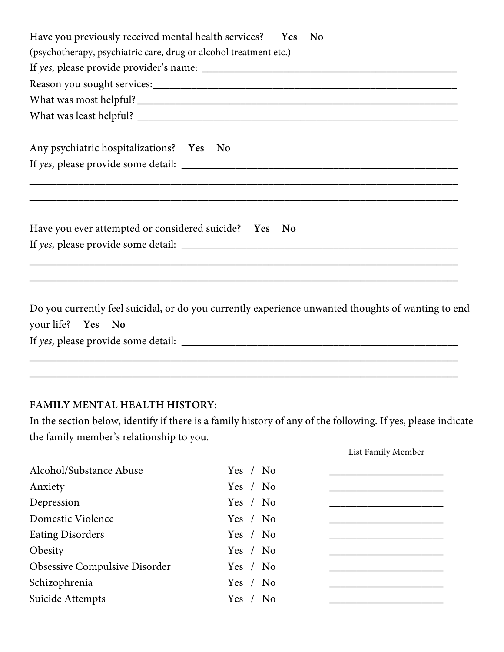| Have you previously received mental health services?  Yes No                                                            |
|-------------------------------------------------------------------------------------------------------------------------|
| (psychotherapy, psychiatric care, drug or alcohol treatment etc.)                                                       |
|                                                                                                                         |
|                                                                                                                         |
|                                                                                                                         |
|                                                                                                                         |
| Any psychiatric hospitalizations? Yes No                                                                                |
|                                                                                                                         |
| ,我们也不能在这里的时候,我们也不能会在这里,我们也不能会在这里的时候,我们也不能会在这里的时候,我们也不能会在这里的时候,我们也不能会在这里的时候,我们也不能                                        |
| Have you ever attempted or considered suicide? Yes No                                                                   |
| ,我们也不能在这里的时候,我们也不能在这里的时候,我们也不能会在这里的时候,我们也不能会在这里的时候,我们也不能会在这里的时候,我们也不能会在这里的时候,我们也                                        |
| ,我们也不能会在这里,我们的人们就会在这里,我们也不能会在这里,我们也不能会在这里,我们也不能会在这里,我们也不能会在这里,我们也不能会不能会不能会。""我们,我                                       |
| Do you currently feel suicidal, or do you currently experience unwanted thoughts of wanting to end<br>your life? Yes No |
|                                                                                                                         |

#### **FAMILY MENTAL HEALTH HISTORY:**

In the section below, identify if there is a family history of any of the following. If yes, please indicate the family member's relationship to you.

List Family Member

\_\_\_\_\_\_\_\_\_\_\_\_\_\_\_\_\_\_\_\_\_\_\_\_\_\_\_\_\_\_\_\_\_\_\_\_\_\_\_\_\_\_\_\_\_\_\_\_\_\_\_\_\_\_\_\_\_\_\_\_\_\_\_\_\_\_\_\_\_\_\_\_\_\_\_\_\_\_\_

| Alcohol/Substance Abuse       | Yes / No |
|-------------------------------|----------|
| Anxiety                       | Yes / No |
| Depression                    | Yes / No |
| Domestic Violence             | Yes / No |
| <b>Eating Disorders</b>       | Yes / No |
| Obesity                       | Yes / No |
| Obsessive Compulsive Disorder | Yes / No |
| Schizophrenia                 | Yes / No |
| Suicide Attempts              | Yes / No |